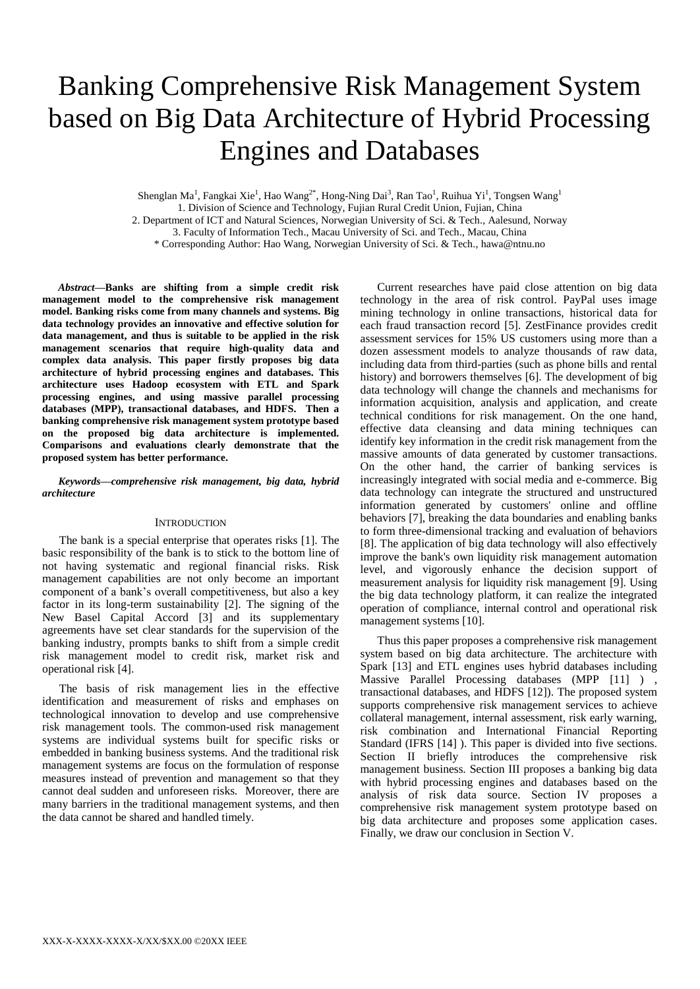# Banking Comprehensive Risk Management System based on Big Data Architecture of Hybrid Processing Engines and Databases

Shenglan Ma<sup>1</sup>, Fangkai Xie<sup>1</sup>, Hao Wang<sup>2\*</sup>, Hong-Ning Dai<sup>3</sup>, Ran Tao<sup>1</sup>, Ruihua Yi<sup>1</sup>, Tongsen Wang<sup>1</sup> 1. Division of Science and Technology, Fujian Rural Credit Union, Fujian, China

2. Department of ICT and Natural Sciences, Norwegian University of Sci. & Tech., Aalesund, Norway

3. Faculty of Information Tech., Macau University of Sci. and Tech., Macau, China

\* Corresponding Author: Hao Wang, Norwegian University of Sci. & Tech., hawa@ntnu.no

*Abstract***—Banks are shifting from a simple credit risk management model to the comprehensive risk management model. Banking risks come from many channels and systems. Big data technology provides an innovative and effective solution for data management, and thus is suitable to be applied in the risk management scenarios that require high-quality data and complex data analysis. This paper firstly proposes big data architecture of hybrid processing engines and databases. This architecture uses Hadoop ecosystem with ETL and Spark processing engines, and using massive parallel processing databases (MPP), transactional databases, and HDFS. Then a banking comprehensive risk management system prototype based on the proposed big data architecture is implemented. Comparisons and evaluations clearly demonstrate that the proposed system has better performance.**

*Keywords—comprehensive risk management, big data, hybrid architecture*

## **INTRODUCTION**

The bank is a special enterprise that operates risks [1]. The basic responsibility of the bank is to stick to the bottom line of not having systematic and regional financial risks. Risk management capabilities are not only become an important component of a bank's overall competitiveness, but also a key factor in its long-term sustainability [2]. The signing of the New Basel Capital Accord [3] and its supplementary agreements have set clear standards for the supervision of the banking industry, prompts banks to shift from a simple credit risk management model to credit risk, market risk and operational risk [4].

The basis of risk management lies in the effective identification and measurement of risks and emphases on technological innovation to develop and use comprehensive risk management tools. The common-used risk management systems are individual systems built for specific risks or embedded in banking business systems. And the traditional risk management systems are focus on the formulation of response measures instead of prevention and management so that they cannot deal sudden and unforeseen risks. Moreover, there are many barriers in the traditional management systems, and then the data cannot be shared and handled timely.

Current researches have paid close attention on big data technology in the area of risk control. PayPal uses image mining technology in online transactions, historical data for each fraud transaction record [5]. ZestFinance provides credit assessment services for 15% US customers using more than a dozen assessment models to analyze thousands of raw data, including data from third-parties (such as phone bills and rental history) and borrowers themselves [6]. The development of big data technology will change the channels and mechanisms for information acquisition, analysis and application, and create technical conditions for risk management. On the one hand, effective data cleansing and data mining techniques can identify key information in the credit risk management from the massive amounts of data generated by customer transactions. On the other hand, the carrier of banking services is increasingly integrated with social media and e-commerce. Big data technology can integrate the structured and unstructured information generated by customers' online and offline behaviors [7], breaking the data boundaries and enabling banks to form three-dimensional tracking and evaluation of behaviors [8]. The application of big data technology will also effectively improve the bank's own liquidity risk management automation level, and vigorously enhance the decision support of measurement analysis for liquidity risk management [9]. Using the big data technology platform, it can realize the integrated operation of compliance, internal control and operational risk management systems [10].

Thus this paper proposes a comprehensive risk management system based on big data architecture. The architecture with Spark [13] and ETL engines uses hybrid databases including Massive Parallel Processing databases (MPP [11] ) , transactional databases, and HDFS [12]). The proposed system supports comprehensive risk management services to achieve collateral management, internal assessment, risk early warning, risk combination and International Financial Reporting Standard (IFRS [14] ). This paper is divided into five sections. Section II briefly introduces the comprehensive risk management business. Section III proposes a banking big data with hybrid processing engines and databases based on the analysis of risk data source. Section IV proposes a comprehensive risk management system prototype based on big data architecture and proposes some application cases. Finally, we draw our conclusion in Section V.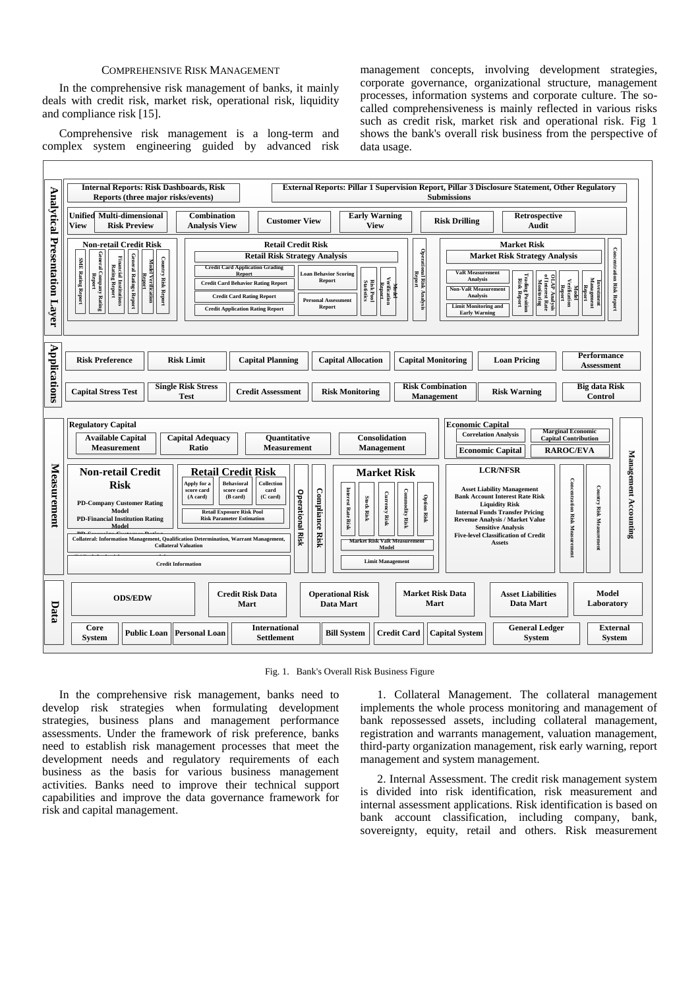# COMPREHENSIVE RISK MANAGEMENT

In the comprehensive risk management of banks, it mainly deals with credit risk, market risk, operational risk, liquidity and compliance risk [15].

Comprehensive risk management is a long-term and complex system engineering guided by advanced risk

management concepts, involving development strategies, corporate governance, organizational structure, management processes, information systems and corporate culture. The socalled comprehensiveness is mainly reflected in various risks such as credit risk, market risk and operational risk. Fig 1 shows the bank's overall risk business from the perspective of data usage.



Fig. 1. Bank's Overall Risk Business Figure

In the comprehensive risk management, banks need to develop risk strategies when formulating development strategies, business plans and management performance assessments. Under the framework of risk preference, banks need to establish risk management processes that meet the development needs and regulatory requirements of each business as the basis for various business management activities. Banks need to improve their technical support capabilities and improve the data governance framework for risk and capital management.

1. Collateral Management. The collateral management implements the whole process monitoring and management of bank repossessed assets, including collateral management, registration and warrants management, valuation management, third-party organization management, risk early warning, report management and system management.

2. Internal Assessment. The credit risk management system is divided into risk identification, risk measurement and internal assessment applications. Risk identification is based on bank account classification, including company, bank, sovereignty, equity, retail and others. Risk measurement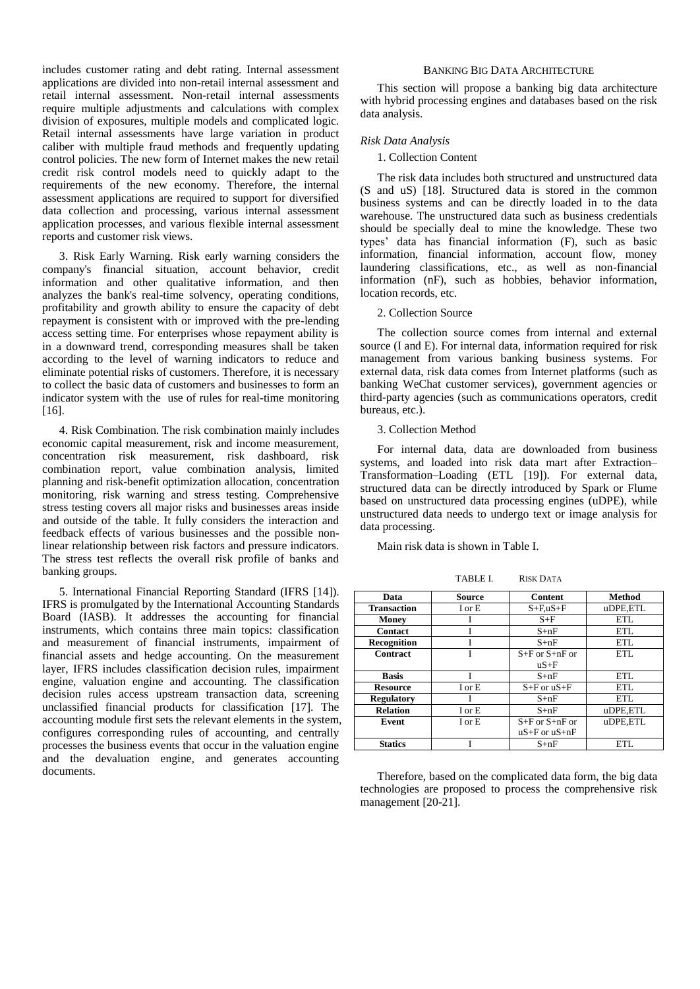includes customer rating and debt rating. Internal assessment applications are divided into non-retail internal assessment and retail internal assessment. Non-retail internal assessments require multiple adjustments and calculations with complex division of exposures, multiple models and complicated logic. Retail internal assessments have large variation in product caliber with multiple fraud methods and frequently updating control policies. The new form of Internet makes the new retail credit risk control models need to quickly adapt to the requirements of the new economy. Therefore, the internal assessment applications are required to support for diversified data collection and processing, various internal assessment application processes, and various flexible internal assessment reports and customer risk views.

3. Risk Early Warning. Risk early warning considers the company's financial situation, account behavior, credit information and other qualitative information, and then analyzes the bank's real-time solvency, operating conditions, profitability and growth ability to ensure the capacity of debt repayment is consistent with or improved with the pre-lending access setting time. For enterprises whose repayment ability is in a downward trend, corresponding measures shall be taken according to the level of warning indicators to reduce and eliminate potential risks of customers. Therefore, it is necessary to collect the basic data of customers and businesses to form an indicator system with the use of rules for real-time monitoring [16].

4. Risk Combination. The risk combination mainly includes economic capital measurement, risk and income measurement, concentration risk measurement, risk dashboard, risk combination report, value combination analysis, limited planning and risk-benefit optimization allocation, concentration monitoring, risk warning and stress testing. Comprehensive stress testing covers all major risks and businesses areas inside and outside of the table. It fully considers the interaction and feedback effects of various businesses and the possible nonlinear relationship between risk factors and pressure indicators. The stress test reflects the overall risk profile of banks and banking groups.

5. International Financial Reporting Standard (IFRS [14]). IFRS is promulgated by the International Accounting Standards Board (IASB). It addresses the accounting for financial instruments, which contains three main topics: classification and measurement of financial instruments, impairment of financial assets and hedge accounting. On the measurement layer, IFRS includes classification decision rules, impairment engine, valuation engine and accounting. The classification decision rules access upstream transaction data, screening unclassified financial products for classification [17]. The accounting module first sets the relevant elements in the system, configures corresponding rules of accounting, and centrally processes the business events that occur in the valuation engine and the devaluation engine, and generates accounting documents.

# BANKING BIG DATA ARCHITECTURE

This section will propose a banking big data architecture with hybrid processing engines and databases based on the risk data analysis.

#### *Risk Data Analysis*

#### 1. Collection Content

The risk data includes both structured and unstructured data (S and uS) [18]. Structured data is stored in the common business systems and can be directly loaded in to the data warehouse. The unstructured data such as business credentials should be specially deal to mine the knowledge. These two types' data has financial information (F), such as basic information, financial information, account flow, money laundering classifications, etc., as well as non-financial information (nF), such as hobbies, behavior information, location records, etc.

## 2. Collection Source

The collection source comes from internal and external source (I and E). For internal data, information required for risk management from various banking business systems. For external data, risk data comes from Internet platforms (such as banking WeChat customer services), government agencies or third-party agencies (such as communications operators, credit bureaus, etc.).

3. Collection Method

For internal data, data are downloaded from business systems, and loaded into risk data mart after Extraction– Transformation–Loading (ETL [19]). For external data, structured data can be directly introduced by Spark or Flume based on unstructured data processing engines (uDPE), while unstructured data needs to undergo text or image analysis for data processing.

Main risk data is shown in Table I.

| <b>RISK DATA</b> |
|------------------|
|                  |

| Data               | <b>Source</b> | <b>Content</b>     | <b>Method</b> |
|--------------------|---------------|--------------------|---------------|
| <b>Transaction</b> | I or E        | $S+F, uS+F$        | uDPE,ETL      |
| Money              |               | $S+F$              | ETL           |
| Contact            |               | $S+nF$             | ETL.          |
| <b>Recognition</b> |               | $S+nF$             | ETL.          |
| Contract           |               | $S+F$ or $S+nP$ or | ETL           |
|                    |               | $uS+F$             |               |
| <b>Basis</b>       |               | $S+nF$             | ETL.          |
| <b>Resource</b>    | I or E        | $S+F$ or $uS+F$    | ETL.          |
| <b>Regulatory</b>  |               | $S+nF$             | ETL           |
| <b>Relation</b>    | $I$ or $E$    | $S+nF$             | uDPE,ETL      |
| Event              | $I$ or $E$    | $S+F$ or $S+nP$ or | uDPE.ETL      |
|                    |               | $uS+F$ or $uS+nF$  |               |
| <b>Statics</b>     |               | $S+nF$             | ETL           |

Therefore, based on the complicated data form, the big data technologies are proposed to process the comprehensive risk management [20-21].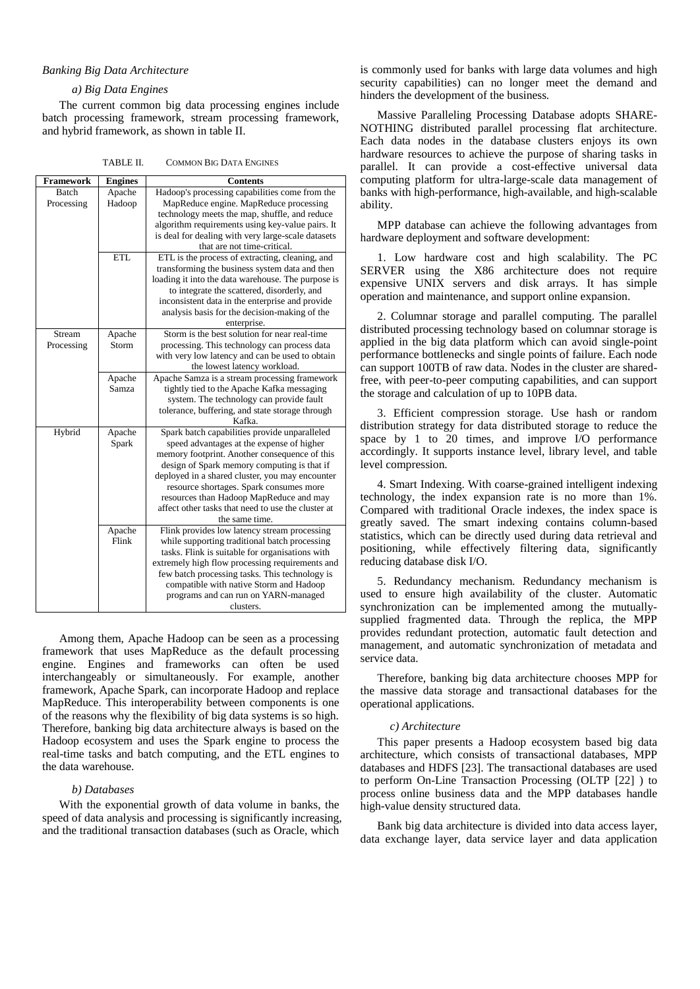# *Banking Big Data Architecture*

# *a) Big Data Engines*

The current common big data processing engines include batch processing framework, stream processing framework, and hybrid framework, as shown in table II.

TABLE II. COMMON BIG DATA ENGINES

| <b>Framework</b> | <b>Engines</b> | <b>Contents</b>                                    |
|------------------|----------------|----------------------------------------------------|
| <b>Batch</b>     | Apache         | Hadoop's processing capabilities come from the     |
| Processing       | Hadoop         | MapReduce engine. MapReduce processing             |
|                  |                | technology meets the map, shuffle, and reduce      |
|                  |                | algorithm requirements using key-value pairs. It   |
|                  |                | is deal for dealing with very large-scale datasets |
|                  |                | that are not time-critical.                        |
|                  | ETL            | ETL is the process of extracting, cleaning, and    |
|                  |                | transforming the business system data and then     |
|                  |                | loading it into the data warehouse. The purpose is |
|                  |                | to integrate the scattered, disorderly, and        |
|                  |                | inconsistent data in the enterprise and provide    |
|                  |                | analysis basis for the decision-making of the      |
|                  |                | enterprise.                                        |
| Stream           | Apache         | Storm is the best solution for near real-time      |
| Processing       | Storm          | processing. This technology can process data       |
|                  |                | with very low latency and can be used to obtain    |
|                  |                | the lowest latency workload.                       |
|                  | Apache         | Apache Samza is a stream processing framework      |
|                  | Samza          | tightly tied to the Apache Kafka messaging         |
|                  |                | system. The technology can provide fault           |
|                  |                | tolerance, buffering, and state storage through    |
|                  |                | Kafka.                                             |
| Hybrid           | Apache         | Spark batch capabilities provide unparalleled      |
|                  | Spark          | speed advantages at the expense of higher          |
|                  |                | memory footprint. Another consequence of this      |
|                  |                | design of Spark memory computing is that if        |
|                  |                | deployed in a shared cluster, you may encounter    |
|                  |                | resource shortages. Spark consumes more            |
|                  |                | resources than Hadoop MapReduce and may            |
|                  |                | affect other tasks that need to use the cluster at |
|                  |                | the same time.                                     |
|                  | Apache         | Flink provides low latency stream processing       |
|                  | Flink          | while supporting traditional batch processing      |
|                  |                | tasks. Flink is suitable for organisations with    |
|                  |                | extremely high flow processing requirements and    |
|                  |                | few batch processing tasks. This technology is     |
|                  |                | compatible with native Storm and Hadoop            |
|                  |                | programs and can run on YARN-managed               |
|                  |                | clusters.                                          |

Among them, Apache Hadoop can be seen as a processing framework that uses MapReduce as the default processing engine. Engines and frameworks can often be used interchangeably or simultaneously. For example, another framework, Apache Spark, can incorporate Hadoop and replace MapReduce. This interoperability between components is one of the reasons why the flexibility of big data systems is so high. Therefore, banking big data architecture always is based on the Hadoop ecosystem and uses the Spark engine to process the real-time tasks and batch computing, and the ETL engines to the data warehouse.

## *b) Databases*

With the exponential growth of data volume in banks, the speed of data analysis and processing is significantly increasing, and the traditional transaction databases (such as Oracle, which

is commonly used for banks with large data volumes and high security capabilities) can no longer meet the demand and hinders the development of the business.

Massive Paralleling Processing Database adopts SHARE-NOTHING distributed parallel processing flat architecture. Each data nodes in the database clusters enjoys its own hardware resources to achieve the purpose of sharing tasks in parallel. It can provide a cost-effective universal data computing platform for ultra-large-scale data management of banks with high-performance, high-available, and high-scalable ability.

MPP database can achieve the following advantages from hardware deployment and software development:

1. Low hardware cost and high scalability. The PC SERVER using the X86 architecture does not require expensive UNIX servers and disk arrays. It has simple operation and maintenance, and support online expansion.

2. Columnar storage and parallel computing. The parallel distributed processing technology based on columnar storage is applied in the big data platform which can avoid single-point performance bottlenecks and single points of failure. Each node can support 100TB of raw data. Nodes in the cluster are sharedfree, with peer-to-peer computing capabilities, and can support the storage and calculation of up to 10PB data.

3. Efficient compression storage. Use hash or random distribution strategy for data distributed storage to reduce the space by 1 to 20 times, and improve I/O performance accordingly. It supports instance level, library level, and table level compression.

4. Smart Indexing. With coarse-grained intelligent indexing technology, the index expansion rate is no more than 1%. Compared with traditional Oracle indexes, the index space is greatly saved. The smart indexing contains column-based statistics, which can be directly used during data retrieval and positioning, while effectively filtering data, significantly reducing database disk I/O.

5. Redundancy mechanism. Redundancy mechanism is used to ensure high availability of the cluster. Automatic synchronization can be implemented among the mutuallysupplied fragmented data. Through the replica, the MPP provides redundant protection, automatic fault detection and management, and automatic synchronization of metadata and service data.

Therefore, banking big data architecture chooses MPP for the massive data storage and transactional databases for the operational applications.

## *c) Architecture*

This paper presents a Hadoop ecosystem based big data architecture, which consists of transactional databases, MPP databases and HDFS [23]. The transactional databases are used to perform On-Line Transaction Processing (OLTP [22] ) to process online business data and the MPP databases handle high-value density structured data.

Bank big data architecture is divided into data access layer, data exchange layer, data service layer and data application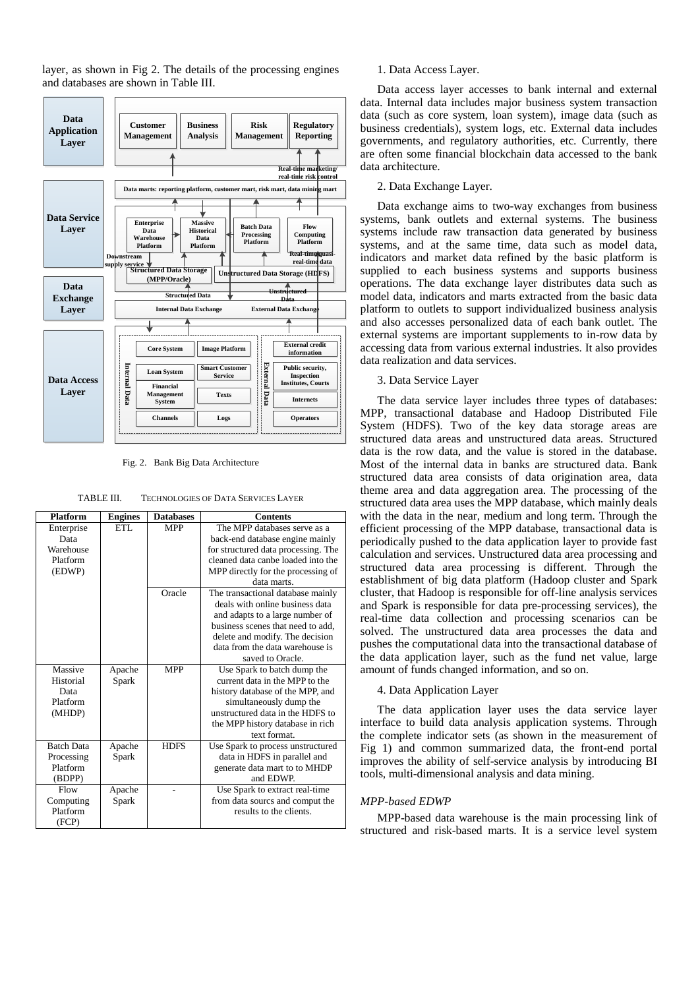layer, as shown in Fig 2. The details of the processing engines and databases are shown in Table III.



Fig. 2. Bank Big Data Architecture

| TABLE III. | <b>TECHNOLOGIES OF DATA SERVICES LAYER</b> |
|------------|--------------------------------------------|
|            |                                            |
|            |                                            |
|            |                                            |

| <b>Platform</b>                                       |                        | <b>Databases</b>     |                                                                                                                                                                                                                                                                                              |
|-------------------------------------------------------|------------------------|----------------------|----------------------------------------------------------------------------------------------------------------------------------------------------------------------------------------------------------------------------------------------------------------------------------------------|
| Enterprise<br>Data<br>Warehouse<br>Platform<br>(EDWP) | <b>Engines</b><br>ETI. | <b>MPP</b><br>Oracle | <b>Contents</b><br>The MPP databases serve as a<br>back-end database engine mainly<br>for structured data processing. The<br>cleaned data canbe loaded into the<br>MPP directly for the processing of<br>data marts.<br>The transactional database mainly<br>deals with online business data |
|                                                       |                        |                      | and adapts to a large number of<br>business scenes that need to add,<br>delete and modify. The decision<br>data from the data warehouse is<br>saved to Oracle.                                                                                                                               |
| Massive<br>Historial<br>Data<br>Platform<br>(MHDP)    | Apache<br>Spark        | <b>MPP</b>           | Use Spark to batch dump the<br>current data in the MPP to the<br>history database of the MPP, and<br>simultaneously dump the<br>unstructured data in the HDFS to<br>the MPP history database in rich<br>text format.                                                                         |
| <b>Batch Data</b><br>Processing<br>Platform<br>(BDPP) | Apache<br>Spark        | <b>HDFS</b>          | Use Spark to process unstructured<br>data in HDFS in parallel and<br>generate data mart to to MHDP<br>and EDWP.                                                                                                                                                                              |
| Flow<br>Computing<br>Platform<br>(FCP)                | Apache<br>Spark        |                      | Use Spark to extract real-time<br>from data sourcs and comput the<br>results to the clients.                                                                                                                                                                                                 |

## 1. Data Access Layer.

Data access layer accesses to bank internal and external data. Internal data includes major business system transaction data (such as core system, loan system), image data (such as business credentials), system logs, etc. External data includes governments, and regulatory authorities, etc. Currently, there are often some financial blockchain data accessed to the bank data architecture.

## 2. Data Exchange Layer.

Data exchange aims to two-way exchanges from business systems, bank outlets and external systems. The business systems include raw transaction data generated by business systems, and at the same time, data such as model data, indicators and market data refined by the basic platform is supplied to each business systems and supports business operations. The data exchange layer distributes data such as model data, indicators and marts extracted from the basic data platform to outlets to support individualized business analysis and also accesses personalized data of each bank outlet. The external systems are important supplements to in-row data by accessing data from various external industries. It also provides data realization and data services.

## 3. Data Service Layer

The data service layer includes three types of databases: MPP, transactional database and Hadoop Distributed File System (HDFS). Two of the key data storage areas are structured data areas and unstructured data areas. Structured data is the row data, and the value is stored in the database. Most of the internal data in banks are structured data. Bank structured data area consists of data origination area, data theme area and data aggregation area. The processing of the structured data area uses the MPP database, which mainly deals with the data in the near, medium and long term. Through the efficient processing of the MPP database, transactional data is periodically pushed to the data application layer to provide fast calculation and services. Unstructured data area processing and structured data area processing is different. Through the establishment of big data platform (Hadoop cluster and Spark cluster, that Hadoop is responsible for off-line analysis services and Spark is responsible for data pre-processing services), the real-time data collection and processing scenarios can be solved. The unstructured data area processes the data and pushes the computational data into the transactional database of the data application layer, such as the fund net value, large amount of funds changed information, and so on.

## 4. Data Application Layer

The data application layer uses the data service layer interface to build data analysis application systems. Through the complete indicator sets (as shown in the measurement of Fig 1) and common summarized data, the front-end portal improves the ability of self-service analysis by introducing BI tools, multi-dimensional analysis and data mining.

## *MPP-based EDWP*

MPP-based data warehouse is the main processing link of structured and risk-based marts. It is a service level system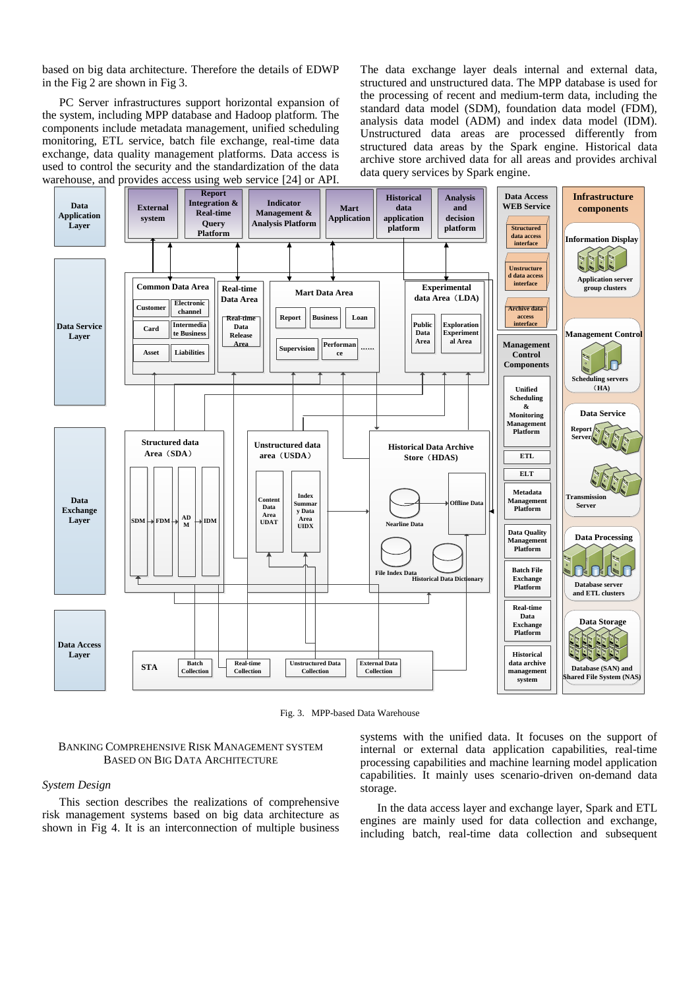based on big data architecture. Therefore the details of EDWP in the Fig 2 are shown in Fig 3.

PC Server infrastructures support horizontal expansion of the system, including MPP database and Hadoop platform. The components include metadata management, unified scheduling monitoring, ETL service, batch file exchange, real-time data exchange, data quality management platforms. Data access is used to control the security and the standardization of the data

The data exchange layer deals internal and external data, structured and unstructured data. The MPP database is used for the processing of recent and medium-term data, including the standard data model (SDM), foundation data model (FDM), analysis data model (ADM) and index data model (IDM). Unstructured data areas are processed differently from structured data areas by the Spark engine. Historical data archive store archived data for all areas and provides archival data query services by Spark engine.



Fig. 3. MPP-based Data Warehouse

# BANKING COMPREHENSIVE RISK MANAGEMENT SYSTEM BASED ON BIG DATA ARCHITECTURE

# *System Design*

This section describes the realizations of comprehensive risk management systems based on big data architecture as shown in Fig 4. It is an interconnection of multiple business

systems with the unified data. It focuses on the support of internal or external data application capabilities, real-time processing capabilities and machine learning model application capabilities. It mainly uses scenario-driven on-demand data storage.

In the data access layer and exchange layer, Spark and ETL engines are mainly used for data collection and exchange, including batch, real-time data collection and subsequent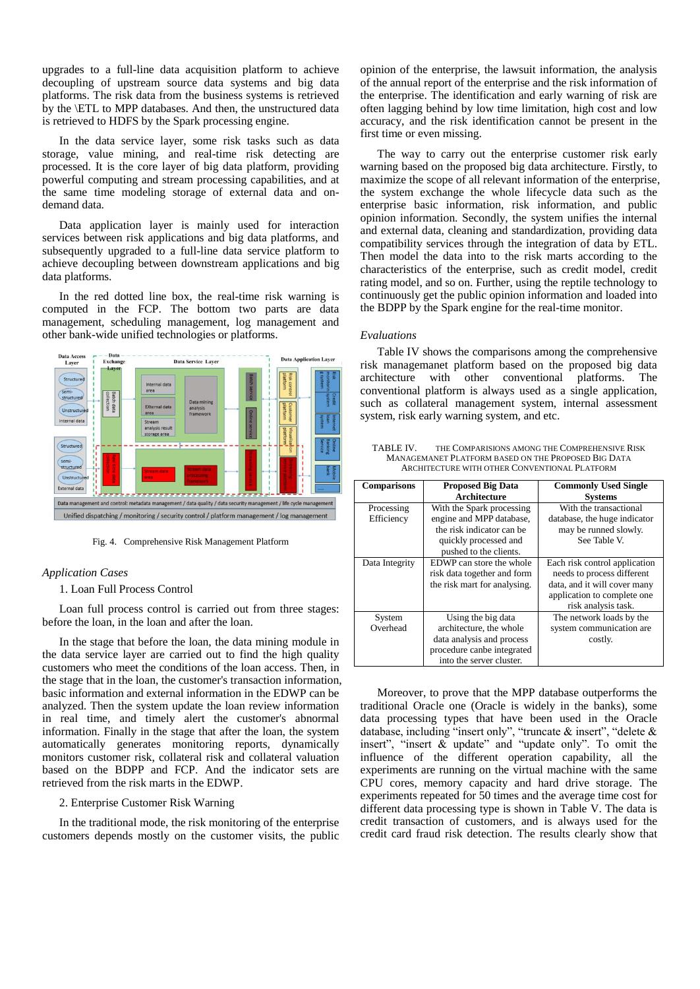upgrades to a full-line data acquisition platform to achieve decoupling of upstream source data systems and big data platforms. The risk data from the business systems is retrieved by the \ETL to MPP databases. And then, the unstructured data is retrieved to HDFS by the Spark processing engine.

In the data service layer, some risk tasks such as data storage, value mining, and real-time risk detecting are processed. It is the core layer of big data platform, providing powerful computing and stream processing capabilities, and at the same time modeling storage of external data and ondemand data.

Data application layer is mainly used for interaction services between risk applications and big data platforms, and subsequently upgraded to a full-line data service platform to achieve decoupling between downstream applications and big data platforms.

In the red dotted line box, the real-time risk warning is computed in the FCP. The bottom two parts are data management, scheduling management, log management and other bank-wide unified technologies or platforms.



Fig. 4. Comprehensive Risk Management Platform

## *Application Cases*

# 1. Loan Full Process Control

Loan full process control is carried out from three stages: before the loan, in the loan and after the loan.

In the stage that before the loan, the data mining module in the data service layer are carried out to find the high quality customers who meet the conditions of the loan access. Then, in the stage that in the loan, the customer's transaction information, basic information and external information in the EDWP can be analyzed. Then the system update the loan review information in real time, and timely alert the customer's abnormal information. Finally in the stage that after the loan, the system automatically generates monitoring reports, dynamically monitors customer risk, collateral risk and collateral valuation based on the BDPP and FCP. And the indicator sets are retrieved from the risk marts in the EDWP.

#### 2. Enterprise Customer Risk Warning

In the traditional mode, the risk monitoring of the enterprise customers depends mostly on the customer visits, the public

opinion of the enterprise, the lawsuit information, the analysis of the annual report of the enterprise and the risk information of the enterprise. The identification and early warning of risk are often lagging behind by low time limitation, high cost and low accuracy, and the risk identification cannot be present in the first time or even missing.

The way to carry out the enterprise customer risk early warning based on the proposed big data architecture. Firstly, to maximize the scope of all relevant information of the enterprise, the system exchange the whole lifecycle data such as the enterprise basic information, risk information, and public opinion information. Secondly, the system unifies the internal and external data, cleaning and standardization, providing data compatibility services through the integration of data by ETL. Then model the data into to the risk marts according to the characteristics of the enterprise, such as credit model, credit rating model, and so on. Further, using the reptile technology to continuously get the public opinion information and loaded into the BDPP by the Spark engine for the real-time monitor.

## *Evaluations*

Table IV shows the comparisons among the comprehensive risk managemanet platform based on the proposed big data architecture with other conventional platforms. The conventional platform is always used as a single application, such as collateral management system, internal assessment system, risk early warning system, and etc.

| <b>Comparisons</b> | <b>Proposed Big Data</b><br><b>Architecture</b> | <b>Commonly Used Single</b><br><b>Systems</b> |
|--------------------|-------------------------------------------------|-----------------------------------------------|
| Processing         | With the Spark processing                       | With the transactional                        |
| Efficiency         | engine and MPP database,                        | database, the huge indicator                  |
|                    | the risk indicator can be                       | may be runned slowly.                         |
|                    | quickly processed and                           | See Table V.                                  |
|                    | pushed to the clients.                          |                                               |
| Data Integrity     | EDWP can store the whole                        | Each risk control application                 |
|                    | risk data together and form                     | needs to process different                    |
|                    | the risk mart for analysing.                    | data, and it will cover many                  |
|                    |                                                 | application to complete one                   |
|                    |                                                 | risk analysis task.                           |
| System             | Using the big data                              | The network loads by the                      |
| Overhead           | architecture, the whole                         | system communication are                      |
|                    | data analysis and process                       | costly.                                       |
|                    | procedure canbe integrated                      |                                               |
|                    | into the server cluster.                        |                                               |

TABLE IV. THE COMPARISIONS AMONG THE COMPREHENSIVE RISK MANAGEMANET PLATFORM BASED ON THE PROPOSED BIG DATA ARCHITECTURE WITH OTHER CONVENTIONAL PLATFORM

Moreover, to prove that the MPP database outperforms the traditional Oracle one (Oracle is widely in the banks), some data processing types that have been used in the Oracle database, including "insert only", "truncate & insert", "delete & insert", "insert & update" and "update only". To omit the influence of the different operation capability, all the experiments are running on the virtual machine with the same CPU cores, memory capacity and hard drive storage. The experiments repeated for 50 times and the average time cost for different data processing type is shown in Table V. The data is credit transaction of customers, and is always used for the credit card fraud risk detection. The results clearly show that